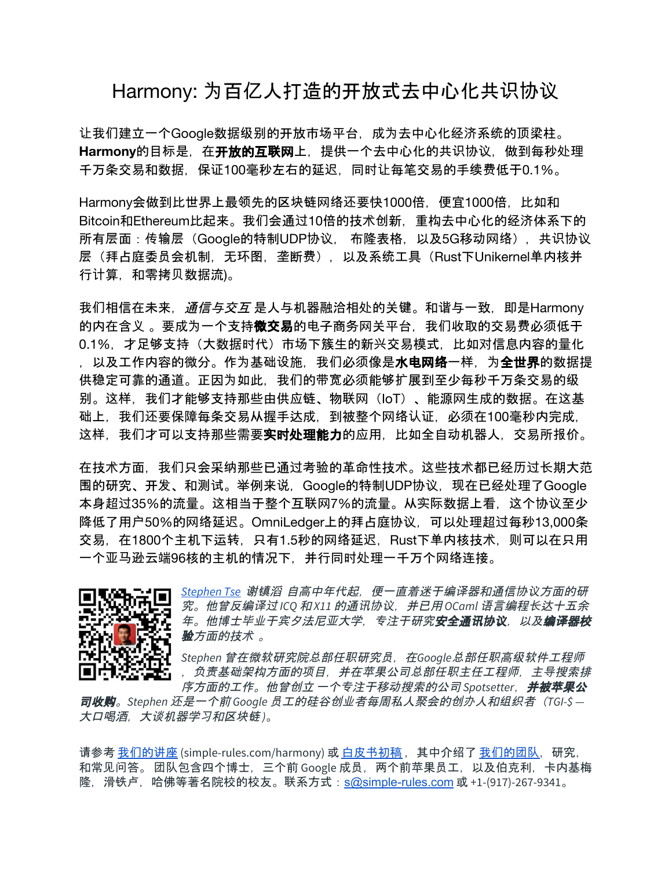## Harmony: 为百亿人打造的开放式去中心化共识协议

让我们建立一个Google数据级别的开放市场平台,成为去中心化经济系统的顶梁柱。 Harmonv的目标是,在开放的互联网上,提供一个去中心化的共识协议,做到每秒处理 千万条交易和数据,保证100毫秒左右的延迟,同时让每笔交易的手续费低于0.1%。

Harmony会做到比世界上最领先的区块链网络还要快1000倍, 便宜1000倍, 比如和 Bitcoin和Ethereum比起来。我们会通过10倍的技术创新,重构去中心化的经济体系下的 所有层面:传输层(Google的特制UDP协议, 布隆表格,以及5G移动网络),共识协议 层(拜占庭委员会机制,无环图,垄断费),以及系统工具(Rust下Unikernel单内核并 行计算, 和零拷贝数据流)。

我们相信在未来,*通信与交互* 是人与机器融洽相处的关键。和谐与一致,即是Harmony 的内在含义 。要成为一个支持**微交易**的电子商务网关平台, 我们收取的交易费必须低于 0.1%,才足够支持(大数据时代)市场下簇生的新兴交易模式,比如对信息内容的量化 , 以及工作内容的微分。作为基础设施, 我们必须像是**水电网络一**样, 为**全世界**的数据提 供稳定可靠的通道。正因为如此,我们的带宽必须能够扩展到至少每秒千万条交易的级 别。这样,我们才能够支持那些由供应链、物联网(IoT)、能源网生成的数据。在这基 础上,我们还要保障每条交易从握手达成,到被整个网络认证,必须在100毫秒内完成, 这样,我们才可以支持那些需要实时处理能力的应用,比如全自动机器人,交易所报价。

在技术方面,我们只会采纳那些已通过考验的革命性技术。这些技术都已经历过长期大范 围的研究、开发、和测试。举例来说,Google的特制UDP协议,现在已经处理了Google 本身超过35%的流量。这相当于整个互联网7%的流量。从实际数据上看,这个协议至少 降低了用户50%的网络延迟。OmniLedger上的拜占庭协议,可以处理超过每秒13,000条 交易, 在1800个主机下运转, 只有1.5秒的网络延迟, Rust下单内核技术, 则可以在只用 一个亚马逊云端96核的主机的情况下,并行同时处理一千万个网络连接。



*[Stephen](http://linkedin.com/in/tsestephen) Tse* 谢镇滔 自高中年代起,便一直着迷于编译器和通信协议方面的研 究。他曾反编译过 *ICQ* 和 *X11* 的通讯协议,并已用 *OCaml* 语言编程长达十五余 *年。他博士毕业于宾夕法尼亚大学, 专注于研究安全通讯协议, 以及编译器校* 验方面的技术 。

*Stephen* 曾在微软研究院总部任职研究员,在*Google*总部任职高级软件工程师 ,负责基础架构方面的项目,并在苹果公司总部任职主任工程师,主导搜索排

序方面的工作。他曾创立 一个专注于移动搜索的公司 *Spotsetter*,并被苹果公 司收购。*Stephen* 还是一个前 *Google* 员工的硅谷创业者每周私人聚会的创办人和组织者(*TGI-\$ —* 大口喝酒,大谈机器学习和区块链 *)*。

请参考 [我](http://simple-rules.com/talk.pdf)们的讲座 (simple-rules.com/harmony) 或 [白皮](http://simple-rules.com/tech)书初稿 , 其中介绍了 我们的[团队](http://simple-rules.com/team),研究, 和常见问答。团队包含四个博士,三个前 Google 成员,两个前苹果员工,以及伯克利,卡内基梅 隆,滑铁卢,哈佛等著名院校的校友。联系方式:[s@simple-rules.com](mailto:s@simple-rules.com) 或 +1-(917)-267-9341。